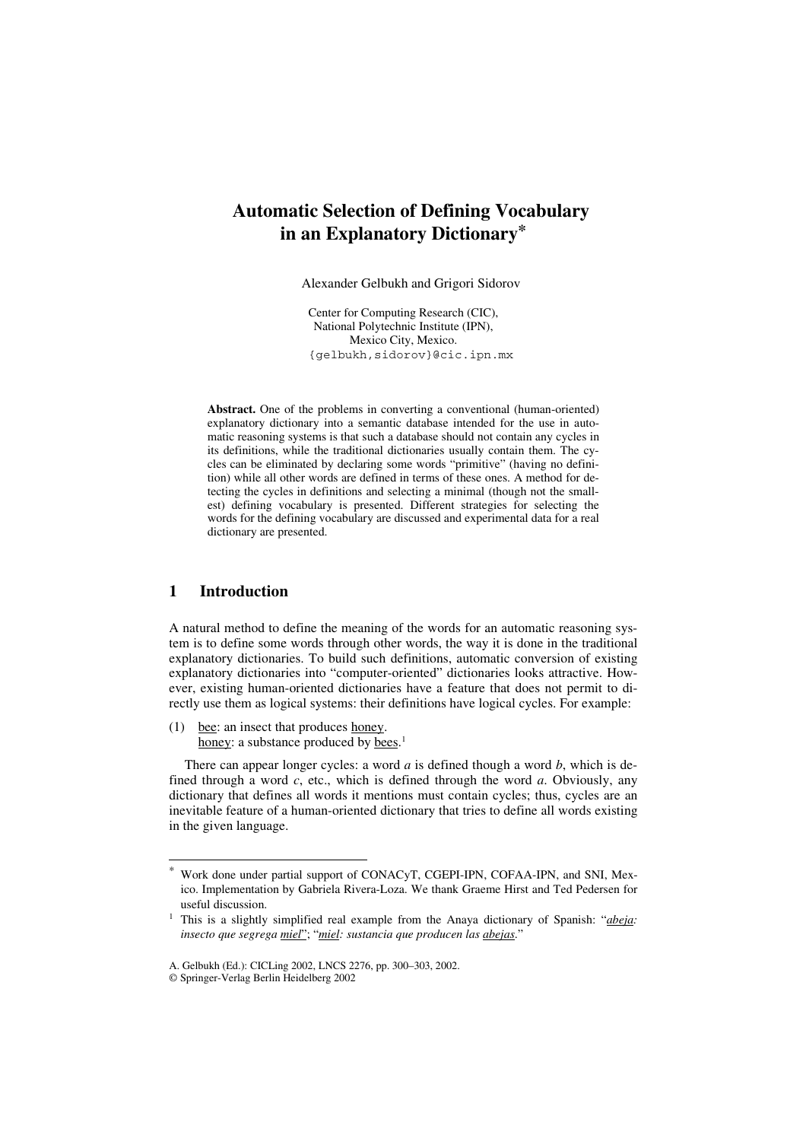# **Automatic Selection of Defining Vocabulary in an Explanatory Dictionary\***

Alexander Gelbukh and Grigori Sidorov

Center for Computing Research (CIC), National Polytechnic Institute (IPN), Mexico City, Mexico. {gelbukh, sidorov}@cic.ipn.mx

**Abstract.** One of the problems in converting a conventional (human-oriented) explanatory dictionary into a semantic database intended for the use in automatic reasoning systems is that such a database should not contain any cycles in its definitions, while the traditional dictionaries usually contain them. The cycles can be eliminated by declaring some words "primitive" (having no definition) while all other words are defined in terms of these ones. A method for detecting the cycles in definitions and selecting a minimal (though not the smallest) defining vocabulary is presented. Different strategies for selecting the words for the defining vocabulary are discussed and experimental data for a real dictionary are presented.

## **1 Introduction**

A natural method to define the meaning of the words for an automatic reasoning system is to define some words through other words, the way it is done in the traditional explanatory dictionaries. To build such definitions, automatic conversion of existing explanatory dictionaries into "computer-oriented" dictionaries looks attractive. However, existing human-oriented dictionaries have a feature that does not permit to directly use them as logical systems: their definitions have logical cycles. For example:

(1) bee: an insect that produces honey. honey: a substance produced by bees.<sup>1</sup>

There can appear longer cycles: a word *a* is defined though a word *b*, which is defined through a word *c*, etc., which is defined through the word *a*. Obviously, any dictionary that defines all words it mentions must contain cycles; thus, cycles are an inevitable feature of a human-oriented dictionary that tries to define all words existing in the given language.

Work done under partial support of CONACyT, CGEPI-IPN, COFAA-IPN, and SNI, Mexico. Implementation by Gabriela Rivera-Loza. We thank Graeme Hirst and Ted Pedersen for useful discussion.

<sup>1</sup> This is a slightly simplified real example from the Anaya dictionary of Spanish: "*abeja: insecto que segrega miel*"; "*miel: sustancia que producen las abejas*."

A. Gelbukh (Ed.): CICLing 2002, LNCS 2276, pp. 300–303, 2002.

<sup>©</sup> Springer-Verlag Berlin Heidelberg 2002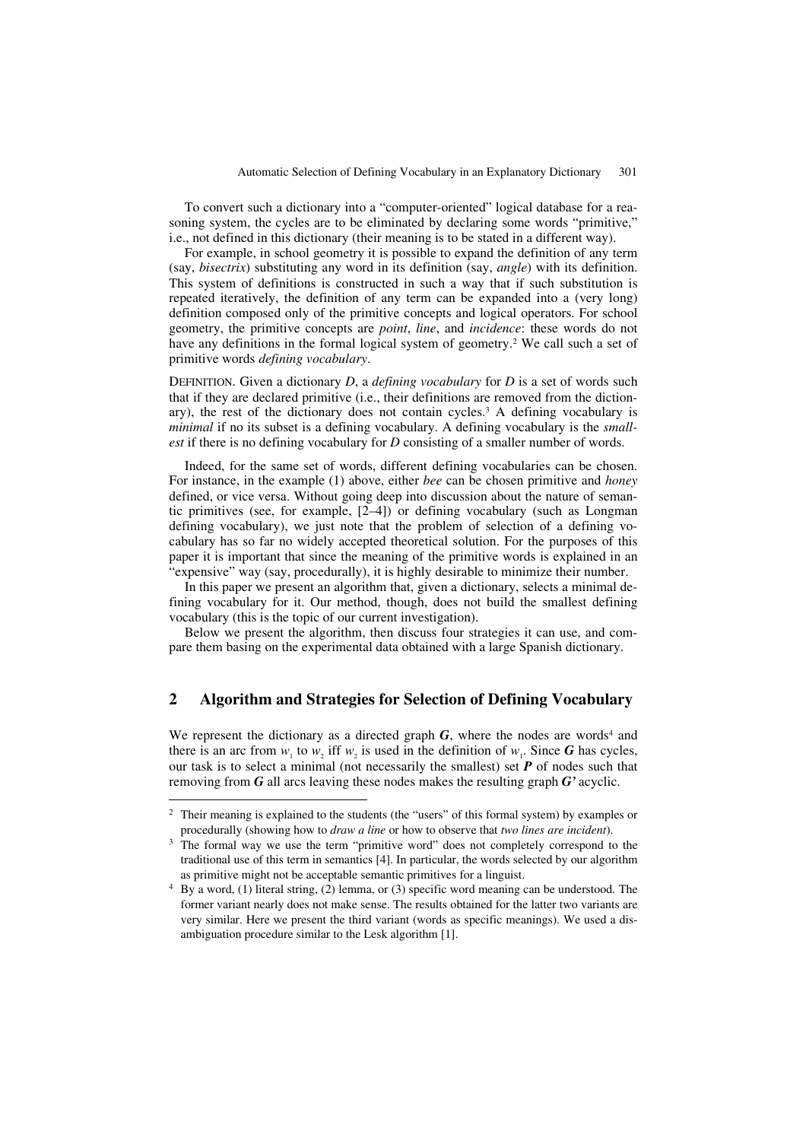To convert such a dictionary into a "computer-oriented" logical database for a reasoning system, the cycles are to be eliminated by declaring some words "primitive," i.e., not defined in this dictionary (their meaning is to be stated in a different way).

For example, in school geometry it is possible to expand the definition of any term (say, *bisectrix*) substituting any word in its definition (say, *angle*) with its definition. This system of definitions is constructed in such a way that if such substitution is repeated iteratively, the definition of any term can be expanded into a (very long) definition composed only of the primitive concepts and logical operators. For school geometry, the primitive concepts are *point*, *line*, and *incidence*: these words do not have any definitions in the formal logical system of geometry.<sup>2</sup> We call such a set of primitive words *defining vocabulary*.

DEFINITION. Given a dictionary *D*, a *defining vocabulary* for *D* is a set of words such that if they are declared primitive (i.e., their definitions are removed from the dictionary), the rest of the dictionary does not contain cycles.<sup>3</sup> A defining vocabulary is *minimal* if no its subset is a defining vocabulary. A defining vocabulary is the *smallest* if there is no defining vocabulary for *D* consisting of a smaller number of words.

Indeed, for the same set of words, different defining vocabularies can be chosen. For instance, in the example (1) above, either *bee* can be chosen primitive and *honey* defined, or vice versa. Without going deep into discussion about the nature of semantic primitives (see, for example, [2–4]) or defining vocabulary (such as Longman defining vocabulary), we just note that the problem of selection of a defining vocabulary has so far no widely accepted theoretical solution. For the purposes of this paper it is important that since the meaning of the primitive words is explained in an "expensive" way (say, procedurally), it is highly desirable to minimize their number.

In this paper we present an algorithm that, given a dictionary, selects a minimal defining vocabulary for it. Our method, though, does not build the smallest defining vocabulary (this is the topic of our current investigation).

Below we present the algorithm, then discuss four strategies it can use, and compare them basing on the experimental data obtained with a large Spanish dictionary.

## **2 Algorithm and Strategies for Selection of Defining Vocabulary**

We represent the dictionary as a directed graph  $G$ , where the nodes are words<sup>4</sup> and there is an arc from  $w_1$  to  $w_2$  iff  $w_2$  is used in the definition of  $w_1$ . Since *G* has cycles, our task is to select a minimal (not necessarily the smallest) set *P* of nodes such that removing from *G* all arcs leaving these nodes makes the resulting graph *G'* acyclic.

<sup>&</sup>lt;sup>2</sup> Their meaning is explained to the students (the "users" of this formal system) by examples or procedurally (showing how to *draw a line* or how to observe that *two lines are incident*).

<sup>&</sup>lt;sup>3</sup> The formal way we use the term "primitive word" does not completely correspond to the traditional use of this term in semantics [4]. In particular, the words selected by our algorithm as primitive might not be acceptable semantic primitives for a linguist.

<sup>4</sup> By a word, (1) literal string, (2) lemma, or (3) specific word meaning can be understood. The former variant nearly does not make sense. The results obtained for the latter two variants are very similar. Here we present the third variant (words as specific meanings). We used a disambiguation procedure similar to the Lesk algorithm [1].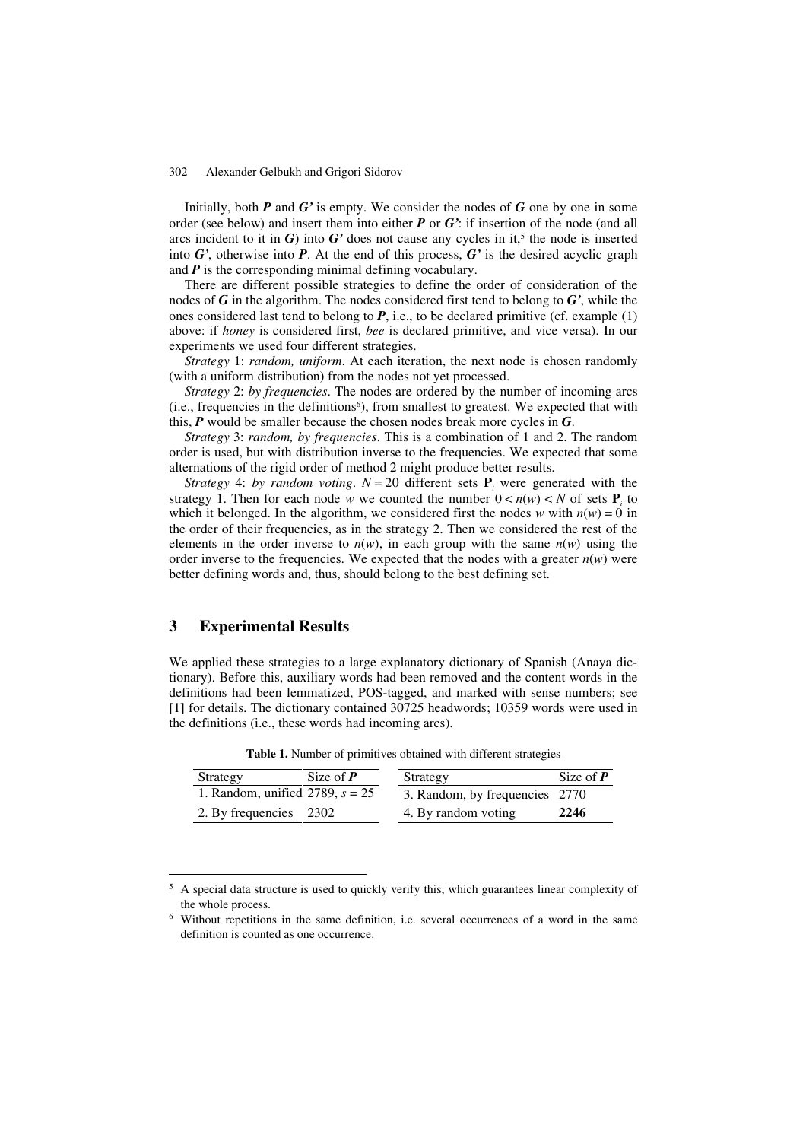Initially, both *P* and *G'* is empty. We consider the nodes of *G* one by one in some order (see below) and insert them into either *P* or *G'*: if insertion of the node (and all arcs incident to it in  $G$ ) into  $G'$  does not cause any cycles in it,<sup>5</sup> the node is inserted into *G'*, otherwise into *P*. At the end of this process, *G'* is the desired acyclic graph and *P* is the corresponding minimal defining vocabulary.

There are different possible strategies to define the order of consideration of the nodes of *G* in the algorithm. The nodes considered first tend to belong to *G'*, while the ones considered last tend to belong to  $P$ , i.e., to be declared primitive (cf. example  $(1)$ ) above: if *honey* is considered first, *bee* is declared primitive, and vice versa). In our experiments we used four different strategies.

*Strategy* 1: *random, uniform*. At each iteration, the next node is chosen randomly (with a uniform distribution) from the nodes not yet processed.

*Strategy* 2: *by frequencies*. The nodes are ordered by the number of incoming arcs (i.e., frequencies in the definitions<sup>6</sup>), from smallest to greatest. We expected that with this, *P* would be smaller because the chosen nodes break more cycles in *G*.

*Strategy* 3: *random, by frequencies*. This is a combination of 1 and 2. The random order is used, but with distribution inverse to the frequencies. We expected that some alternations of the rigid order of method 2 might produce better results.

*Strategy* 4: *by random voting*.  $N = 20$  different sets  $P_i$  were generated with the strategy 1. Then for each node *w* we counted the number  $0 < n(w) < N$  of sets  $P_i$  to which it belonged. In the algorithm, we considered first the nodes *w* with  $n(w) = 0$  in the order of their frequencies, as in the strategy 2. Then we considered the rest of the elements in the order inverse to  $n(w)$ , in each group with the same  $n(w)$  using the order inverse to the frequencies. We expected that the nodes with a greater  $n(w)$  were better defining words and, thus, should belong to the best defining set.

## **3 Experimental Results**

We applied these strategies to a large explanatory dictionary of Spanish (Anaya dictionary). Before this, auxiliary words had been removed and the content words in the definitions had been lemmatized, POS-tagged, and marked with sense numbers; see [1] for details. The dictionary contained 30725 headwords; 10359 words were used in the definitions (i.e., these words had incoming arcs).

| Strategy                          | Size of $P$ | Strategy                       | Size of $P$ |
|-----------------------------------|-------------|--------------------------------|-------------|
| 1. Random, unified 2789, $s = 25$ |             | 3. Random, by frequencies 2770 |             |
| 2. By frequencies 2302            |             | 4. By random voting            | 2246        |

**Table 1.** Number of primitives obtained with different strategies

<sup>&</sup>lt;sup>5</sup> A special data structure is used to quickly verify this, which guarantees linear complexity of the whole process.

<sup>6</sup> Without repetitions in the same definition, i.e. several occurrences of a word in the same definition is counted as one occurrence.